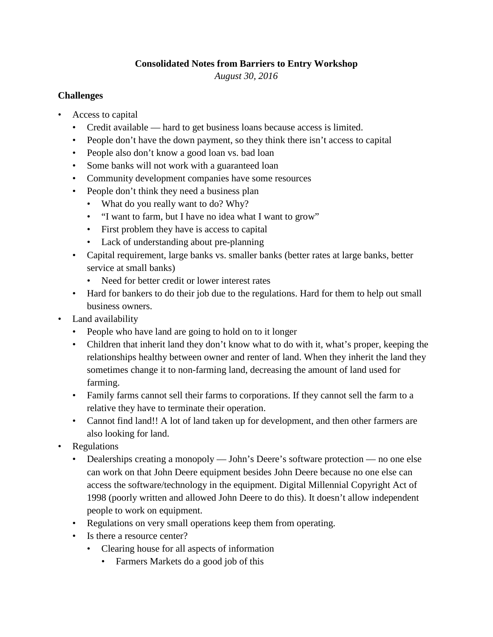## **Consolidated Notes from Barriers to Entry Workshop**

*August 30, 2016*

## **Challenges**

- Access to capital
	- Credit available hard to get business loans because access is limited.
	- People don't have the down payment, so they think there isn't access to capital
	- People also don't know a good loan vs. bad loan
	- Some banks will not work with a guaranteed loan
	- Community development companies have some resources
	- People don't think they need a business plan
		- What do you really want to do? Why?
		- "I want to farm, but I have no idea what I want to grow"
		- First problem they have is access to capital
		- Lack of understanding about pre-planning
	- Capital requirement, large banks vs. smaller banks (better rates at large banks, better service at small banks)
		- Need for better credit or lower interest rates
	- Hard for bankers to do their job due to the regulations. Hard for them to help out small business owners.
- Land availability
	- People who have land are going to hold on to it longer
	- Children that inherit land they don't know what to do with it, what's proper, keeping the relationships healthy between owner and renter of land. When they inherit the land they sometimes change it to non-farming land, decreasing the amount of land used for farming.
	- Family farms cannot sell their farms to corporations. If they cannot sell the farm to a relative they have to terminate their operation.
	- Cannot find land!! A lot of land taken up for development, and then other farmers are also looking for land.
- Regulations
	- Dealerships creating a monopoly John's Deere's software protection no one else can work on that John Deere equipment besides John Deere because no one else can access the software/technology in the equipment. Digital Millennial Copyright Act of 1998 (poorly written and allowed John Deere to do this). It doesn't allow independent people to work on equipment.
	- Regulations on very small operations keep them from operating.
	- Is there a resource center?
		- Clearing house for all aspects of information
			- Farmers Markets do a good job of this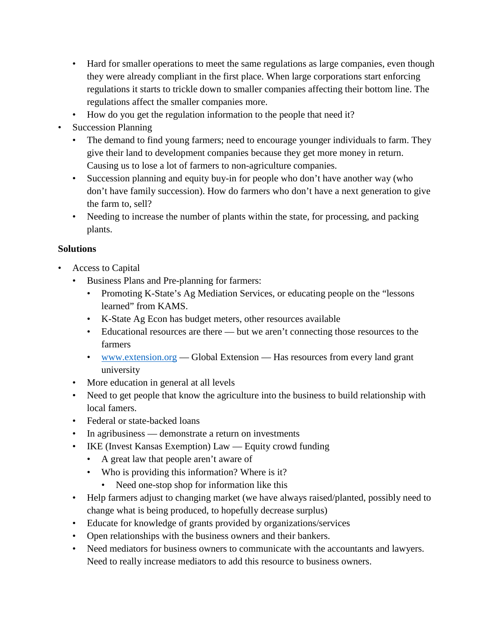- Hard for smaller operations to meet the same regulations as large companies, even though they were already compliant in the first place. When large corporations start enforcing regulations it starts to trickle down to smaller companies affecting their bottom line. The regulations affect the smaller companies more.
- How do you get the regulation information to the people that need it?
- Succession Planning
	- The demand to find young farmers; need to encourage younger individuals to farm. They give their land to development companies because they get more money in return. Causing us to lose a lot of farmers to non-agriculture companies.
	- Succession planning and equity buy-in for people who don't have another way (who don't have family succession). How do farmers who don't have a next generation to give the farm to, sell?
	- Needing to increase the number of plants within the state, for processing, and packing plants.

## **Solutions**

- Access to Capital
	- Business Plans and Pre-planning for farmers:
		- Promoting K-State's Ag Mediation Services, or educating people on the "lessons learned" from KAMS.
		- K-State Ag Econ has budget meters, other resources available
		- Educational resources are there but we aren't connecting those resources to the farmers
		- [www.extension.org](http://www.extension.org/) Global Extension Has resources from every land grant university
	- More education in general at all levels
	- Need to get people that know the agriculture into the business to build relationship with local famers.
	- Federal or state-backed loans
	- In agribusiness demonstrate a return on investments
	- IKE (Invest Kansas Exemption) Law Equity crowd funding
		- A great law that people aren't aware of
		- Who is providing this information? Where is it?
			- Need one-stop shop for information like this
	- Help farmers adjust to changing market (we have always raised/planted, possibly need to change what is being produced, to hopefully decrease surplus)
	- Educate for knowledge of grants provided by organizations/services
	- Open relationships with the business owners and their bankers.
	- Need mediators for business owners to communicate with the accountants and lawyers. Need to really increase mediators to add this resource to business owners.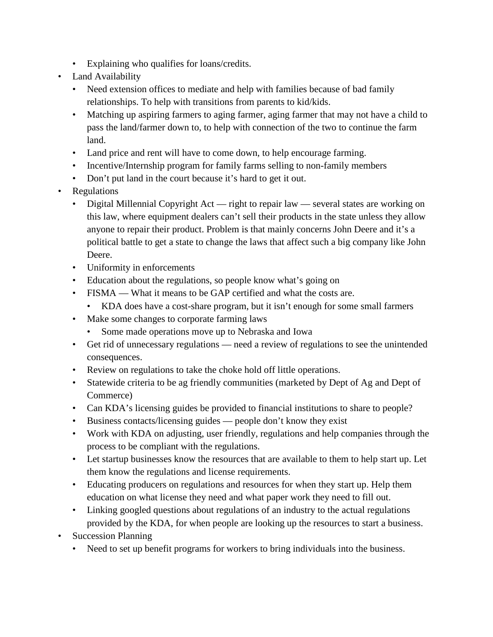- Explaining who qualifies for loans/credits.
- Land Availability
	- Need extension offices to mediate and help with families because of bad family relationships. To help with transitions from parents to kid/kids.
	- Matching up aspiring farmers to aging farmer, aging farmer that may not have a child to pass the land/farmer down to, to help with connection of the two to continue the farm land.
	- Land price and rent will have to come down, to help encourage farming.
	- Incentive/Internship program for family farms selling to non-family members
	- Don't put land in the court because it's hard to get it out.
- Regulations
	- Digital Millennial Copyright Act right to repair law several states are working on this law, where equipment dealers can't sell their products in the state unless they allow anyone to repair their product. Problem is that mainly concerns John Deere and it's a political battle to get a state to change the laws that affect such a big company like John Deere.
	- Uniformity in enforcements
	- Education about the regulations, so people know what's going on
	- FISMA What it means to be GAP certified and what the costs are.
		- KDA does have a cost-share program, but it isn't enough for some small farmers
	- Make some changes to corporate farming laws
		- Some made operations move up to Nebraska and Iowa
	- Get rid of unnecessary regulations need a review of regulations to see the unintended consequences.
	- Review on regulations to take the choke hold off little operations.
	- Statewide criteria to be ag friendly communities (marketed by Dept of Ag and Dept of Commerce)
	- Can KDA's licensing guides be provided to financial institutions to share to people?
	- Business contacts/licensing guides people don't know they exist
	- Work with KDA on adjusting, user friendly, regulations and help companies through the process to be compliant with the regulations.
	- Let startup businesses know the resources that are available to them to help start up. Let them know the regulations and license requirements.
	- Educating producers on regulations and resources for when they start up. Help them education on what license they need and what paper work they need to fill out.
	- Linking googled questions about regulations of an industry to the actual regulations provided by the KDA, for when people are looking up the resources to start a business.
- Succession Planning
	- Need to set up benefit programs for workers to bring individuals into the business.